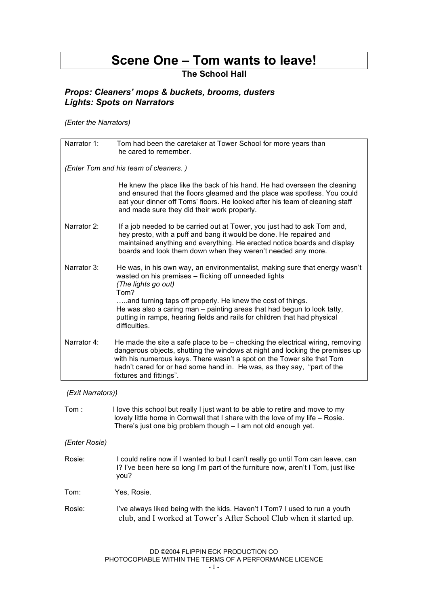## **Scene One – Tom wants to leave!**

### **The School Hall**

### *Props: Cleaners' mops & buckets, brooms, dusters Lights: Spots on Narrators*

*(Enter the Narrators)*

| Narrator 1: | Tom had been the caretaker at Tower School for more years than<br>he cared to remember.                                                                                                                                                                                                                                                                                                                    |  |
|-------------|------------------------------------------------------------------------------------------------------------------------------------------------------------------------------------------------------------------------------------------------------------------------------------------------------------------------------------------------------------------------------------------------------------|--|
|             | (Enter Tom and his team of cleaners.)                                                                                                                                                                                                                                                                                                                                                                      |  |
|             | He knew the place like the back of his hand. He had overseen the cleaning<br>and ensured that the floors gleamed and the place was spotless. You could<br>eat your dinner off Toms' floors. He looked after his team of cleaning staff<br>and made sure they did their work properly.                                                                                                                      |  |
| Narrator 2: | If a job needed to be carried out at Tower, you just had to ask Tom and,<br>hey presto, with a puff and bang it would be done. He repaired and<br>maintained anything and everything. He erected notice boards and display<br>boards and took them down when they weren't needed any more.                                                                                                                 |  |
| Narrator 3: | He was, in his own way, an environmentalist, making sure that energy wasn't<br>wasted on his premises - flicking off unneeded lights<br>(The lights go out)<br>Tom?<br>and turning taps off properly. He knew the cost of things.<br>He was also a caring man – painting areas that had begun to look tatty,<br>putting in ramps, hearing fields and rails for children that had physical<br>difficulties. |  |
| Narrator 4: | He made the site a safe place to be $-$ checking the electrical wiring, removing<br>dangerous objects, shutting the windows at night and locking the premises up<br>with his numerous keys. There wasn't a spot on the Tower site that Tom<br>hadn't cared for or had some hand in. He was, as they say, "part of the<br>fixtures and fittings".                                                           |  |

*(Exit Narrators))*

| Tom :         | I love this school but really I just want to be able to retire and move to my<br>lovely little home in Cornwall that I share with the love of my life – Rosie.<br>There's just one big problem though - I am not old enough yet. |
|---------------|----------------------------------------------------------------------------------------------------------------------------------------------------------------------------------------------------------------------------------|
| (Enter Rosie) |                                                                                                                                                                                                                                  |
| Rosie:        | I could retire now if I wanted to but I can't really go until Tom can leave, can<br>I? I've been here so long I'm part of the furniture now, aren't I Tom, just like<br>you?                                                     |

Tom: Yes, Rosie.

Rosie: I've always liked being with the kids. Haven't I Tom? I used to run a youth club, and I worked at Tower's After School Club when it started up.

> DD ©2004 FLIPPIN ECK PRODUCTION CO PHOTOCOPIABLE WITHIN THE TERMS OF A PERFORMANCE LICENCE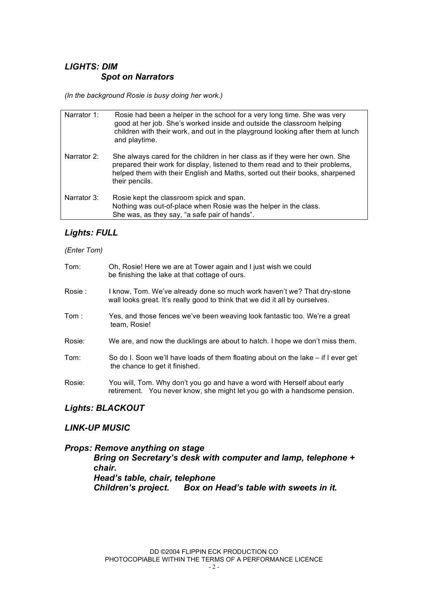## *LIGHTS: DIM Spot on Narrators*

*(In the background Rosie is busy doing her work.)*

| Narrator 1: | Rosie had been a helper in the school for a very long time. She was very<br>good at her job. She's worked inside and outside the classroom helping<br>children with their work, and out in the playground looking after them at lunch<br>and playtime.        |
|-------------|---------------------------------------------------------------------------------------------------------------------------------------------------------------------------------------------------------------------------------------------------------------|
| Narrator 2: | She always cared for the children in her class as if they were her own. She<br>prepared their work for display, listened to them read and to their problems,<br>helped them with their English and Maths, sorted out their books, sharpened<br>their pencils. |
| Narrator 3: | Rosie kept the classroom spick and span.<br>Nothing was out-of-place when Rosie was the helper in the class.<br>She was, as they say, "a safe pair of hands".                                                                                                 |

## *Lights: FULL*

*(Enter Tom)*

| Tom:   | Oh, Rosie! Here we are at Tower again and I just wish we could<br>be finishing the lake at that cottage of ours.                                        |
|--------|---------------------------------------------------------------------------------------------------------------------------------------------------------|
| Rosie: | I know, Tom. We've already done so much work haven't we? That dry-stone<br>wall looks great. It's really good to think that we did it all by ourselves. |
| Tom:   | Yes, and those fences we've been weaving look fantastic too. We're a great<br>team, Rosie!                                                              |
| Rosie: | We are, and now the ducklings are about to hatch. I hope we don't miss them.                                                                            |
| Tom:   | So do I. Soon we'll have loads of them floating about on the lake – if I ever get<br>the chance to get it finished.                                     |
| Rosie: | You will, Tom. Why don't you go and have a word with Herself about early<br>retirement. You never know, she might let you go with a handsome pension.   |

#### *Lights: BLACKOUT*

#### *LINK-UP MUSIC*

*Props: Remove anything on stage Bring on Secretary's desk with computer and lamp, telephone + chair. Head's table, chair, telephone Children's project. Box on Head's table with sweets in it.*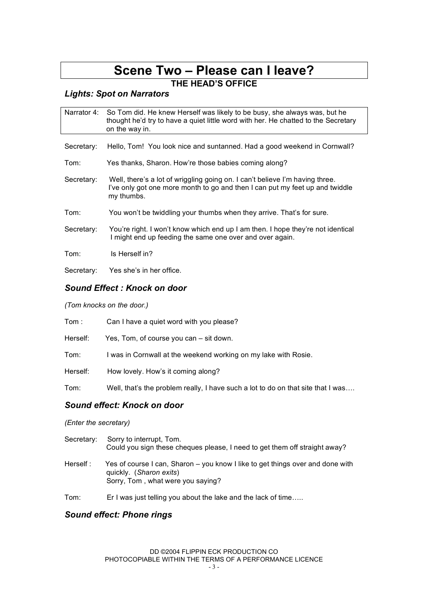## **Scene Two – Please can I leave?**

## **THE HEAD'S OFFICE**

## *Lights: Spot on Narrators*

|            | Narrator 4: So Tom did. He knew Herself was likely to be busy, she always was, but he<br>thought he'd try to have a quiet little word with her. He chatted to the Secretary<br>on the way in. |
|------------|-----------------------------------------------------------------------------------------------------------------------------------------------------------------------------------------------|
|            |                                                                                                                                                                                               |
| Secretary: | Hello, Tom! You look nice and suntanned. Had a good weekend in Cornwall?                                                                                                                      |
| Tom:       | Yes thanks, Sharon. How're those babies coming along?                                                                                                                                         |
| Secretary: | Well, there's a lot of wriggling going on. I can't believe I'm having three.<br>I've only got one more month to go and then I can put my feet up and twiddle<br>my thumbs.                    |
| Tom:       | You won't be twiddling your thumbs when they arrive. That's for sure.                                                                                                                         |
| Secretary: | You're right. I won't know which end up I am then. I hope they're not identical<br>I might end up feeding the same one over and over again.                                                   |
| Tom:       | Is Herself in?                                                                                                                                                                                |
| Secretary: | Yes she's in her office.                                                                                                                                                                      |

### *Sound Effect : Knock on door*

*(Tom knocks on the door.)*

| Tom:     | Can I have a quiet word with you please?                                         |
|----------|----------------------------------------------------------------------------------|
| Herself: | Yes, Tom, of course you can – sit down.                                          |
| Tom:     | I was in Cornwall at the weekend working on my lake with Rosie.                  |
| Herself: | How lovely. How's it coming along?                                               |
| Tom:     | Well, that's the problem really, I have such a lot to do on that site that I was |

### *Sound effect: Knock on door*

*(Enter the secretary)*

| Secretary: | Sorry to interrupt, Tom.<br>Could you sign these cheques please, I need to get them off straight away?                                         |
|------------|------------------------------------------------------------------------------------------------------------------------------------------------|
| Herself:   | Yes of course I can, Sharon – you know I like to get things over and done with<br>quickly. (Sharon exits)<br>Sorry, Tom, what were you saying? |
| Tom:       | Er I was just telling you about the lake and the lack of time                                                                                  |

## *Sound effect: Phone rings*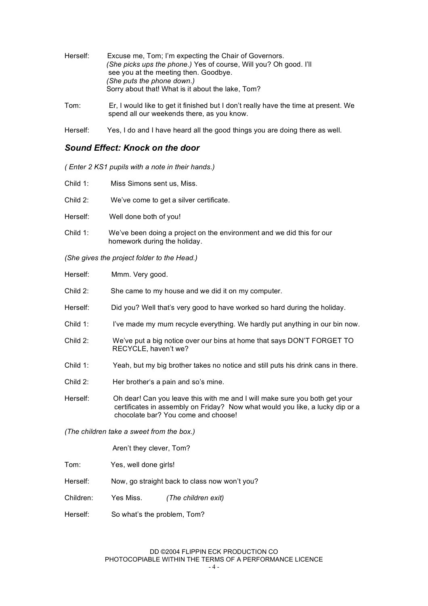| Herself: | Excuse me, Tom; I'm expecting the Chair of Governors.<br>(She picks ups the phone.) Yes of course, Will you? Oh good. I'll<br>see you at the meeting then. Goodbye.<br>(She puts the phone down.) |
|----------|---------------------------------------------------------------------------------------------------------------------------------------------------------------------------------------------------|
|          | Sorry about that! What is it about the lake, Tom?                                                                                                                                                 |

Tom: Er, I would like to get it finished but I don't really have the time at present. We spend all our weekends there, as you know.

Herself: Yes, I do and I have heard all the good things you are doing there as well.

#### *Sound Effect: Knock on the door*

*( Enter 2 KS1 pupils with a note in their hands.)*

| Child 1: | Miss Simons sent us, Miss.                                                                            |
|----------|-------------------------------------------------------------------------------------------------------|
| Child 2: | We've come to get a silver certificate.                                                               |
| Herself: | Well done both of you!                                                                                |
| Child 1: | We've been doing a project on the environment and we did this for our<br>homework during the holiday. |
|          | $(Chab, a)$ is a than $a$ is in at foldow to the Hood $\Gamma$                                        |

*(She gives the project folder to the Head.)*

| Herself:                                  | Mmm. Very good.                                                                                                                                                                                    |                                                                           |
|-------------------------------------------|----------------------------------------------------------------------------------------------------------------------------------------------------------------------------------------------------|---------------------------------------------------------------------------|
| Child 2:                                  | She came to my house and we did it on my computer.                                                                                                                                                 |                                                                           |
| Herself:                                  |                                                                                                                                                                                                    | Did you? Well that's very good to have worked so hard during the holiday. |
| Child $1$ :                               | I've made my mum recycle everything. We hardly put anything in our bin now.                                                                                                                        |                                                                           |
| Child 2:                                  | We've put a big notice over our bins at home that says DON'T FORGET TO<br>RECYCLE, haven't we?                                                                                                     |                                                                           |
| Child $1$ :                               | Yeah, but my big brother takes no notice and still puts his drink cans in there.                                                                                                                   |                                                                           |
| Child $2$ :                               |                                                                                                                                                                                                    | Her brother's a pain and so's mine.                                       |
| Herself:                                  | Oh dear! Can you leave this with me and I will make sure you both get your<br>certificates in assembly on Friday? Now what would you like, a lucky dip or a<br>chocolate bar? You come and choose! |                                                                           |
| (The children take a sweet from the box.) |                                                                                                                                                                                                    |                                                                           |
|                                           | Aren't they clever, Tom?                                                                                                                                                                           |                                                                           |
| Tom:                                      | Yes, well done girls!                                                                                                                                                                              |                                                                           |
| Herself:                                  | Now, go straight back to class now won't you?                                                                                                                                                      |                                                                           |
| Children:                                 | Yes Miss.<br>(The children exit)                                                                                                                                                                   |                                                                           |

Herself: So what's the problem, Tom?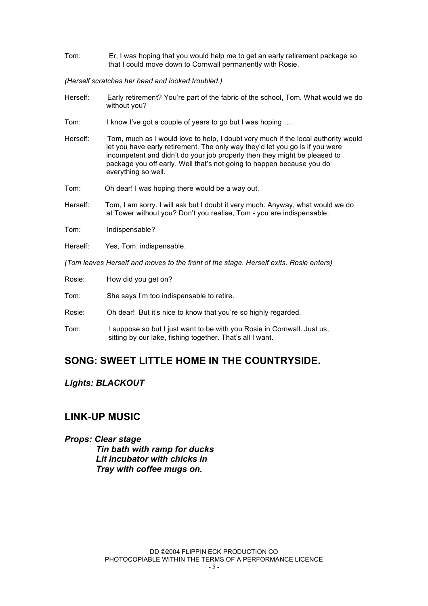Tom: Er, I was hoping that you would help me to get an early retirement package so that I could move down to Cornwall permanently with Rosie.

#### *(Herself scratches her head and looked troubled.)*

- Herself: Early retirement? You're part of the fabric of the school, Tom. What would we do without you?
- Tom: I know I've got a couple of years to go but I was hoping ....
- Herself: Tom, much as I would love to help, I doubt very much if the local authority would let you have early retirement. The only way they'd let you go is if you were incompetent and didn't do your job properly then they might be pleased to package you off early. Well that's not going to happen because you do everything so well.
- Tom: Oh dear! I was hoping there would be a way out.
- Herself: Tom, I am sorry. I will ask but I doubt it very much. Anyway, what would we do at Tower without you? Don't you realise, Tom - you are indispensable.
- Tom: Indispensable?
- Herself: Yes, Tom, indispensable.

*(Tom leaves Herself and moves to the front of the stage. Herself exits. Rosie enters)*

- Rosie: How did you get on?
- Tom: She says I'm too indispensable to retire.
- Rosie: Oh dear! But it's nice to know that you're so highly regarded.
- Tom: I suppose so but I just want to be with you Rosie in Cornwall. Just us, sitting by our lake, fishing together. That's all I want.

## **SONG: SWEET LITTLE HOME IN THE COUNTRYSIDE.**

#### *Lights: BLACKOUT*

## **LINK-UP MUSIC**

*Props: Clear stage*

*Tin bath with ramp for ducks Lit incubator with chicks in Tray with coffee mugs on.*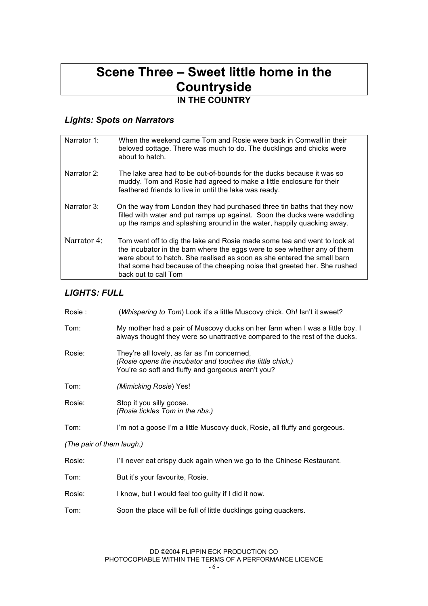# **Scene Three – Sweet little home in the Countryside**

**IN THE COUNTRY**

## *Lights: Spots on Narrators*

| Narrator 1:          | When the weekend came Tom and Rosie were back in Cornwall in their<br>beloved cottage. There was much to do. The ducklings and chicks were<br>about to hatch.                                                                                                                                                                       |
|----------------------|-------------------------------------------------------------------------------------------------------------------------------------------------------------------------------------------------------------------------------------------------------------------------------------------------------------------------------------|
| Narrator 2:          | The lake area had to be out-of-bounds for the ducks because it was so<br>muddy. Tom and Rosie had agreed to make a little enclosure for their<br>feathered friends to live in until the lake was ready.                                                                                                                             |
| Narrator 3:          | On the way from London they had purchased three tin baths that they now<br>filled with water and put ramps up against. Soon the ducks were waddling<br>up the ramps and splashing around in the water, happily quacking away.                                                                                                       |
| Narrator $4^{\circ}$ | Tom went off to dig the lake and Rosie made some tea and went to look at<br>the incubator in the barn where the eggs were to see whether any of them<br>were about to hatch. She realised as soon as she entered the small barn<br>that some had because of the cheeping noise that greeted her. She rushed<br>back out to call Tom |

## *LIGHTS: FULL*

| Rosie:                    | (Whispering to Tom) Look it's a little Muscovy chick. Oh! Isn't it sweet?                                                                                       |  |
|---------------------------|-----------------------------------------------------------------------------------------------------------------------------------------------------------------|--|
| Tom:                      | My mother had a pair of Muscovy ducks on her farm when I was a little boy. I<br>always thought they were so unattractive compared to the rest of the ducks.     |  |
| Rosie:                    | They're all lovely, as far as I'm concerned,<br>(Rosie opens the incubator and touches the little chick.)<br>You're so soft and fluffy and gorgeous aren't you? |  |
| Tom:                      | (Mimicking Rosie) Yes!                                                                                                                                          |  |
| Rosie:                    | Stop it you silly goose.<br>(Rosie tickles Tom in the ribs.)                                                                                                    |  |
| Tom:                      | I'm not a goose I'm a little Muscovy duck, Rosie, all fluffy and gorgeous.                                                                                      |  |
| (The pair of them laugh.) |                                                                                                                                                                 |  |
| Rosie:                    | I'll never eat crispy duck again when we go to the Chinese Restaurant.                                                                                          |  |
| Tom:                      | But it's your favourite, Rosie.                                                                                                                                 |  |
| Rosie:                    | I know, but I would feel too guilty if I did it now.                                                                                                            |  |
| Tom:                      | Soon the place will be full of little ducklings going quackers.                                                                                                 |  |
|                           |                                                                                                                                                                 |  |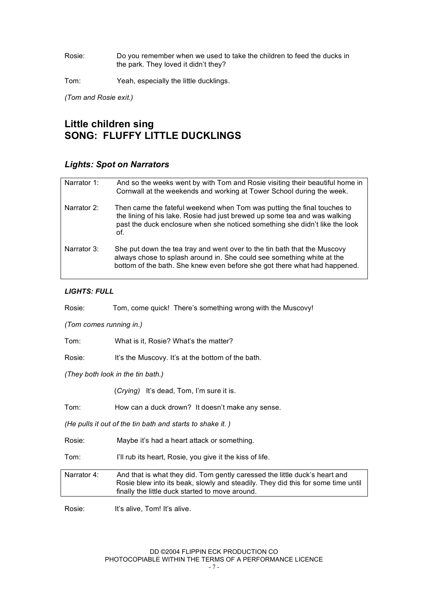Rosie: Do you remember when we used to take the children to feed the ducks in the park. They loved it didn't they?

Tom: Yeah, especially the little ducklings.

*(Tom and Rosie exit.)*

## **Little children sing SONG: FLUFFY LITTLE DUCKLINGS**

#### *Lights: Spot on Narrators*

| Narrator 1: | And so the weeks went by with Tom and Rosie visiting their beautiful home in<br>Cornwall at the weekends and working at Tower School during the week.                                                                                      |
|-------------|--------------------------------------------------------------------------------------------------------------------------------------------------------------------------------------------------------------------------------------------|
| Narrator 2: | Then came the fateful weekend when Tom was putting the final touches to<br>the lining of his lake. Rosie had just brewed up some tea and was walking<br>past the duck enclosure when she noticed something she didn't like the look<br>of. |
| Narrator 3: | She put down the tea tray and went over to the tin bath that the Muscovy<br>always chose to splash around in. She could see something white at the<br>bottom of the bath. She knew even before she got there what had happened.            |

#### *LIGHTS: FULL*

Rosie: Tom, come quick! There's something wrong with the Muscovy!

*(Tom comes running in.)*

Tom: What is it, Rosie? What's the matter?

Rosie: It's the Muscovy. It's at the bottom of the bath.

*(They both look in the tin bath.)*

(*Crying)* It's dead, Tom, I'm sure it is.

Tom: How can a duck drown? It doesn't make any sense.

*(He pulls it out of the tin bath and starts to shake it. )*

Rosie: Maybe it's had a heart attack or something.

Tom: I'll rub its heart, Rosie, you give it the kiss of life.

Narrator 4: And that is what they did. Tom gently caressed the little duck's heart and Rosie blew into its beak, slowly and steadily. They did this for some time until finally the little duck started to move around.

Rosie: It's alive, Tom! It's alive.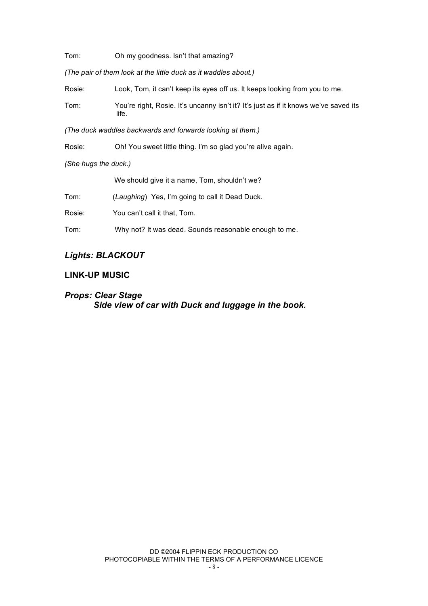Tom: Oh my goodness. Isn't that amazing?

*(The pair of them look at the little duck as it waddles about.)*

Rosie: Look, Tom, it can't keep its eyes off us. It keeps looking from you to me.

Tom: You're right, Rosie. It's uncanny isn't it? It's just as if it knows we've saved its life.

*(The duck waddles backwards and forwards looking at them.)*

Rosie: Oh! You sweet little thing. I'm so glad you're alive again.

*(She hugs the duck.)*

We should give it a name, Tom, shouldn't we?

Tom: (*Laughing*) Yes, I'm going to call it Dead Duck.

Rosie: You can't call it that, Tom.

Tom: Why not? It was dead. Sounds reasonable enough to me.

#### *Lights: BLACKOUT*

#### **LINK-UP MUSIC**

*Props: Clear Stage Side view of car with Duck and luggage in the book.*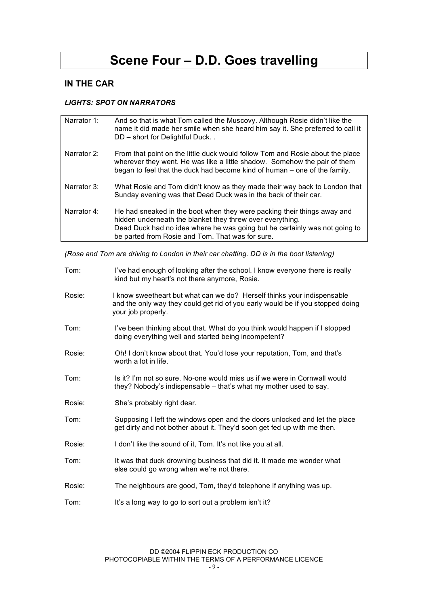## **Scene Four – D.D. Goes travelling**

#### **IN THE CAR**

#### *LIGHTS: SPOT ON NARRATORS*

| Narrator 1: | And so that is what Tom called the Muscovy. Although Rosie didn't like the<br>name it did made her smile when she heard him say it. She preferred to call it<br>DD - short for Delightful Duck                                                                         |
|-------------|------------------------------------------------------------------------------------------------------------------------------------------------------------------------------------------------------------------------------------------------------------------------|
| Narrator 2: | From that point on the little duck would follow Tom and Rosie about the place<br>wherever they went. He was like a little shadow. Somehow the pair of them<br>began to feel that the duck had become kind of human – one of the family.                                |
| Narrator 3: | What Rosie and Tom didn't know as they made their way back to London that<br>Sunday evening was that Dead Duck was in the back of their car.                                                                                                                           |
| Narrator 4: | He had sneaked in the boot when they were packing their things away and<br>hidden underneath the blanket they threw over everything.<br>Dead Duck had no idea where he was going but he certainly was not going to<br>be parted from Rosie and Tom. That was for sure. |

*(Rose and Tom are driving to London in their car chatting. DD is in the boot listening)*

| Tom:   | I've had enough of looking after the school. I know everyone there is really<br>kind but my heart's not there anymore, Rosie.                                                   |
|--------|---------------------------------------------------------------------------------------------------------------------------------------------------------------------------------|
| Rosie: | I know sweetheart but what can we do? Herself thinks your indispensable<br>and the only way they could get rid of you early would be if you stopped doing<br>your job properly. |
| Tom:   | I've been thinking about that. What do you think would happen if I stopped<br>doing everything well and started being incompetent?                                              |
| Rosie: | Oh! I don't know about that. You'd lose your reputation, Tom, and that's<br>worth a lot in life.                                                                                |
| Tom:   | Is it? I'm not so sure. No-one would miss us if we were in Cornwall would<br>they? Nobody's indispensable – that's what my mother used to say.                                  |
| Rosie: | She's probably right dear.                                                                                                                                                      |
| Tom:   | Supposing I left the windows open and the doors unlocked and let the place<br>get dirty and not bother about it. They'd soon get fed up with me then.                           |
| Rosie: | I don't like the sound of it, Tom. It's not like you at all.                                                                                                                    |
| Tom:   | It was that duck drowning business that did it. It made me wonder what<br>else could go wrong when we're not there.                                                             |
| Rosie: | The neighbours are good, Tom, they'd telephone if anything was up.                                                                                                              |
| Tom:   | It's a long way to go to sort out a problem isn't it?                                                                                                                           |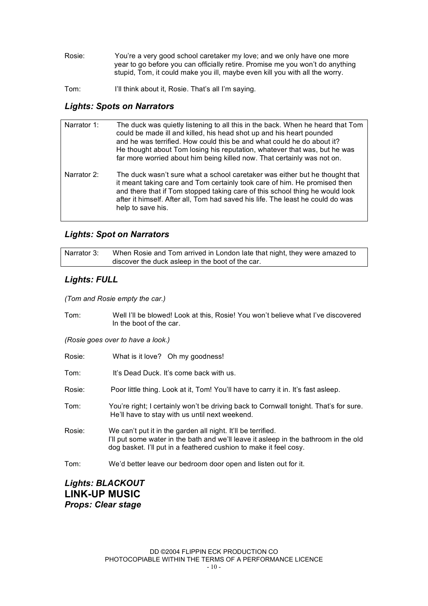- Rosie: You're a very good school caretaker my love; and we only have one more year to go before you can officially retire. Promise me you won't do anything stupid, Tom, it could make you ill, maybe even kill you with all the worry.
- Tom: I'll think about it, Rosie. That's all I'm saying.

#### *Lights: Spots on Narrators*

| Narrator 1: | The duck was quietly listening to all this in the back. When he heard that Tom<br>could be made ill and killed, his head shot up and his heart pounded<br>and he was terrified. How could this be and what could he do about it?<br>He thought about Tom losing his reputation, whatever that was, but he was<br>far more worried about him being killed now. That certainly was not on. |
|-------------|------------------------------------------------------------------------------------------------------------------------------------------------------------------------------------------------------------------------------------------------------------------------------------------------------------------------------------------------------------------------------------------|
| Narrator 2: | The duck wasn't sure what a school caretaker was either but he thought that<br>it meant taking care and Tom certainly took care of him. He promised then<br>and there that if Tom stopped taking care of this school thing he would look<br>after it himself. After all, Tom had saved his life. The least he could do was<br>help to save his.                                          |

#### *Lights: Spot on Narrators*

Narrator 3: When Rosie and Tom arrived in London late that night, they were amazed to discover the duck asleep in the boot of the car.

#### *Lights: FULL*

*(Tom and Rosie empty the car.)*

Tom: Well I'll be blowed! Look at this, Rosie! You won't believe what I've discovered In the boot of the car.

*(Rosie goes over to have a look.)*

Rosie: What is it love? Oh my goodness!

Tom: It's Dead Duck. It's come back with us.

Rosie: Poor little thing. Look at it, Tom! You'll have to carry it in. It's fast asleep.

- Tom: You're right; I certainly won't be driving back to Cornwall tonight. That's for sure. He'll have to stay with us until next weekend.
- Rosie: We can't put it in the garden all night. It'll be terrified. I'll put some water in the bath and we'll leave it asleep in the bathroom in the old dog basket. I'll put in a feathered cushion to make it feel cosy.
- Tom: We'd better leave our bedroom door open and listen out for it.

*Lights: BLACKOUT* **LINK-UP MUSIC** *Props: Clear stage*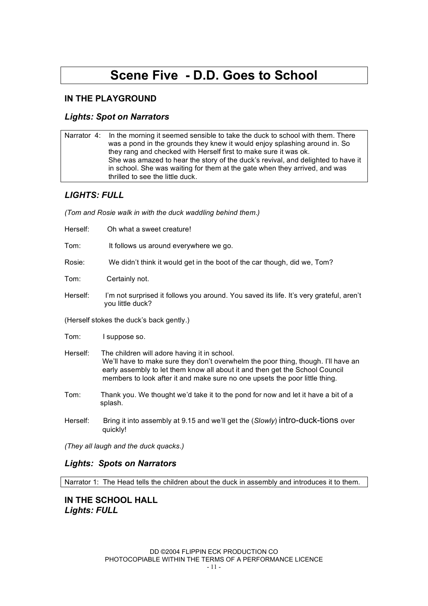## **Scene Five - D.D. Goes to School**

#### **IN THE PLAYGROUND**

#### *Lights: Spot on Narrators*

Narrator 4: In the morning it seemed sensible to take the duck to school with them. There was a pond in the grounds they knew it would enjoy splashing around in. So they rang and checked with Herself first to make sure it was ok. She was amazed to hear the story of the duck's revival, and delighted to have it in school. She was waiting for them at the gate when they arrived, and was thrilled to see the little duck.

#### *LIGHTS: FULL*

*(Tom and Rosie walk in with the duck waddling behind them.)*

| Herself:                                 | Oh what a sweet creature!                                                                                                                                                                                                                                                                        |  |
|------------------------------------------|--------------------------------------------------------------------------------------------------------------------------------------------------------------------------------------------------------------------------------------------------------------------------------------------------|--|
| Tom:                                     | It follows us around everywhere we go.                                                                                                                                                                                                                                                           |  |
| Rosie:                                   | We didn't think it would get in the boot of the car though, did we, Tom?                                                                                                                                                                                                                         |  |
| Tom:                                     | Certainly not.                                                                                                                                                                                                                                                                                   |  |
| Herself:                                 | I'm not surprised it follows you around. You saved its life. It's very grateful, aren't<br>you little duck?                                                                                                                                                                                      |  |
| (Herself stokes the duck's back gently.) |                                                                                                                                                                                                                                                                                                  |  |
|                                          |                                                                                                                                                                                                                                                                                                  |  |
| Tom:                                     | I suppose so.                                                                                                                                                                                                                                                                                    |  |
| Herself:                                 | The children will adore having it in school.<br>We'll have to make sure they don't overwhelm the poor thing, though. I'll have an<br>early assembly to let them know all about it and then get the School Council<br>members to look after it and make sure no one upsets the poor little thing. |  |
| Tom:                                     | Thank you. We thought we'd take it to the pond for now and let it have a bit of a<br>splash.                                                                                                                                                                                                     |  |

*(They all laugh and the duck quacks.)*

#### *Lights: Spots on Narrators*

Narrator 1: The Head tells the children about the duck in assembly and introduces it to them.

#### **IN THE SCHOOL HALL** *Lights: FULL*